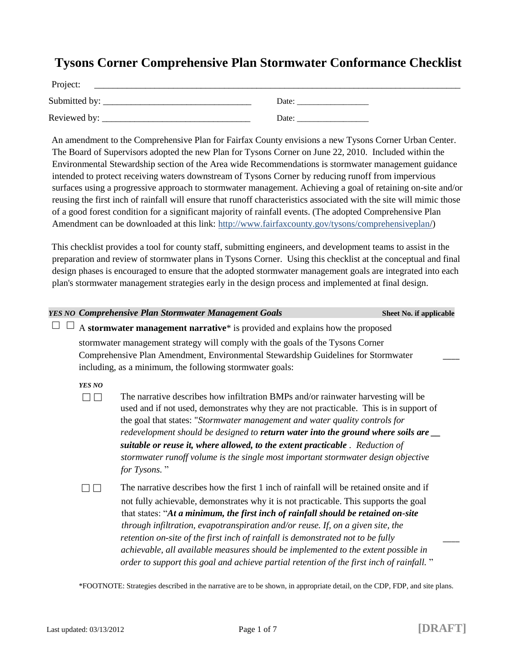## **Tysons Corner Comprehensive Plan Stormwater Conformance Checklist**

| Project:        |       |  |  |
|-----------------|-------|--|--|
| Submitted by: _ | Date: |  |  |
| Reviewed by:    | Date: |  |  |

An amendment to the Comprehensive Plan for Fairfax County envisions a new Tysons Corner Urban Center. The Board of Supervisors adopted the new Plan for Tysons Corner on June 22, 2010. Included within the Environmental Stewardship section of the Area wide Recommendations is stormwater management guidance intended to protect receiving waters downstream of Tysons Corner by reducing runoff from impervious surfaces using a progressive approach to stormwater management. Achieving a goal of retaining on-site and/or reusing the first inch of rainfall will ensure that runoff characteristics associated with the site will mimic those of a good forest condition for a significant majority of rainfall events. (The adopted Comprehensive Plan Amendment can be downloaded at this link: http://www.fairfaxcounty.gov/tysons/comprehensiveplan/)

This checklist provides a tool for county staff, submitting engineers, and development teams to assist in the preparation and review of stormwater plans in Tysons Corner. Using this checklist at the conceptual and final design phases is encouraged to ensure that the adopted stormwater management goals are integrated into each plan's stormwater management strategies early in the design process and implemented at final design.

|                                                                                                                                                                                                                                                                                                                                                                                                                                                                                                                                 |                                                                                                                                                                                                                                 | <b>YES NO Comprehensive Plan Stormwater Management Goals</b>                                                                                                                                                                                                                                                                                                                                                                                                                                                                                     | Sheet No. if applicable |
|---------------------------------------------------------------------------------------------------------------------------------------------------------------------------------------------------------------------------------------------------------------------------------------------------------------------------------------------------------------------------------------------------------------------------------------------------------------------------------------------------------------------------------|---------------------------------------------------------------------------------------------------------------------------------------------------------------------------------------------------------------------------------|--------------------------------------------------------------------------------------------------------------------------------------------------------------------------------------------------------------------------------------------------------------------------------------------------------------------------------------------------------------------------------------------------------------------------------------------------------------------------------------------------------------------------------------------------|-------------------------|
| A stormwater management narrative* is provided and explains how the proposed                                                                                                                                                                                                                                                                                                                                                                                                                                                    |                                                                                                                                                                                                                                 |                                                                                                                                                                                                                                                                                                                                                                                                                                                                                                                                                  |                         |
|                                                                                                                                                                                                                                                                                                                                                                                                                                                                                                                                 | stormwater management strategy will comply with the goals of the Tysons Corner<br>Comprehensive Plan Amendment, Environmental Stewardship Guidelines for Stormwater<br>including, as a minimum, the following stormwater goals: |                                                                                                                                                                                                                                                                                                                                                                                                                                                                                                                                                  |                         |
| YES NO<br>The narrative describes how infiltration BMPs and/or rainwater harvesting will be<br>used and if not used, demonstrates why they are not practicable. This is in support of<br>the goal that states: "Stormwater management and water quality controls for<br>redevelopment should be designed to return water into the ground where soils are _<br>suitable or reuse it, where allowed, to the extent practicable. Reduction of<br>stormwater runoff volume is the single most important stormwater design objective |                                                                                                                                                                                                                                 |                                                                                                                                                                                                                                                                                                                                                                                                                                                                                                                                                  |                         |
|                                                                                                                                                                                                                                                                                                                                                                                                                                                                                                                                 |                                                                                                                                                                                                                                 | for Tysons."<br>The narrative describes how the first 1 inch of rainfall will be retained onsite and if<br>not fully achievable, demonstrates why it is not practicable. This supports the goal<br>that states: "At a minimum, the first inch of rainfall should be retained on-site<br>through infiltration, evapotranspiration and/or reuse. If, on a given site, the<br>retention on-site of the first inch of rainfall is demonstrated not to be fully<br>achievable, all available measures should be implemented to the extent possible in |                         |

\*FOOTNOTE: Strategies described in the narrative are to be shown, in appropriate detail, on the CDP, FDP, and site plans.

*order to support this goal and achieve partial retention of the first inch of rainfall.* "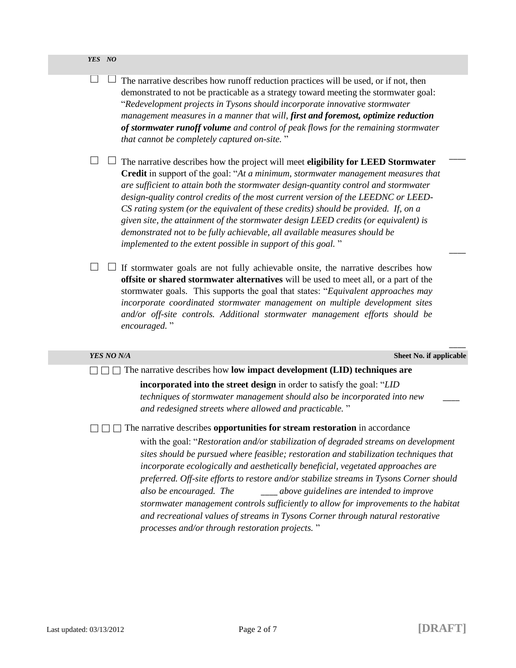$\Box$ 

 $\Box$  The narrative describes how runoff reduction practices will be used, or if not, then demonstrated to not be practicable as a strategy toward meeting the stormwater goal: "*Redevelopment projects in Tysons should incorporate innovative stormwater management measures in a manner that will, first and foremost, optimize reduction of stormwater runoff volume and control of peak flows for the remaining stormwater that cannot be completely captured on-site.* "

 $\Box$   $\Box$  The narrative describes how the project will meet **eligibility for LEED Stormwater Credit** in support of the goal: "*At a minimum, stormwater management measures that are sufficient to attain both the stormwater design-quantity control and stormwater design-quality control credits of the most current version of the LEEDNC or LEED-CS rating system (or the equivalent of these credits) should be provided. If, on a given site, the attainment of the stormwater design LEED credits (or equivalent) is demonstrated not to be fully achievable, all available measures should be implemented to the extent possible in support of this goal.* "

 $\Box$   $\Box$  If stormwater goals are not fully achievable onsite, the narrative describes how **offsite or shared stormwater alternatives** will be used to meet all, or a part of the stormwater goals. This supports the goal that states: "*Equivalent approaches may incorporate coordinated stormwater management on multiple development sites and/or off-site controls. Additional stormwater management efforts should be encouraged.* "

*YES NO N/A* **Sheet No. if applicable**

 $\overline{\phantom{a}}$ 

 $\overline{\phantom{a}}$ 

 $\overline{\phantom{a}}$ 

□ □ □ The narrative describes how **low impact development (LID) techniques are** 

**incorporated into the street design** in order to satisfy the goal: "*LID techniques of stormwater management should also be incorporated into new* \_\_\_\_ *and redesigned streets where allowed and practicable.* "

The narrative describes **opportunities for stream restoration** in accordance

with the goal: "*Restoration and/or stabilization of degraded streams on development sites should be pursued where feasible; restoration and stabilization techniques that incorporate ecologically and aesthetically beneficial, vegetated approaches are preferred. Off-site efforts to restore and/or stabilize streams in Tysons Corner should also be encouraged. The* \_\_\_\_ *above guidelines are intended to improve stormwater management controls sufficiently to allow for improvements to the habitat and recreational values of streams in Tysons Corner through natural restorative processes and/or through restoration projects.* "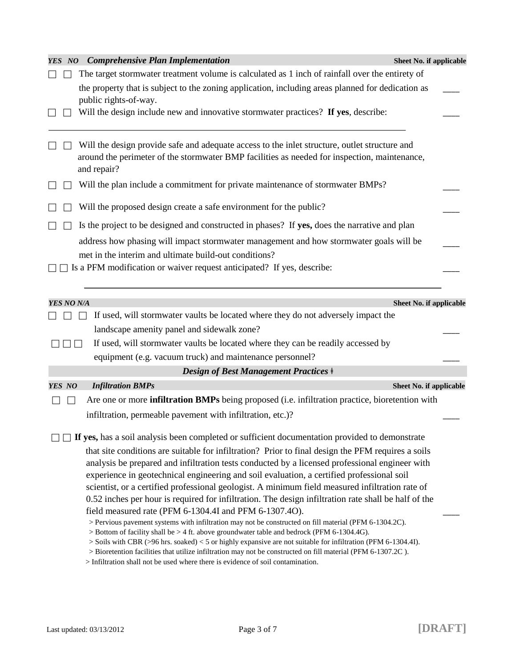| YES NO            | <b>Comprehensive Plan Implementation</b><br>Sheet No. if applicable                                                                                                                                  |  |
|-------------------|------------------------------------------------------------------------------------------------------------------------------------------------------------------------------------------------------|--|
|                   | The target stormwater treatment volume is calculated as 1 inch of rainfall over the entirety of                                                                                                      |  |
|                   | the property that is subject to the zoning application, including areas planned for dedication as                                                                                                    |  |
|                   | public rights-of-way.                                                                                                                                                                                |  |
|                   | Will the design include new and innovative stormwater practices? If yes, describe:                                                                                                                   |  |
|                   |                                                                                                                                                                                                      |  |
|                   | Will the design provide safe and adequate access to the inlet structure, outlet structure and                                                                                                        |  |
|                   | around the perimeter of the stormwater BMP facilities as needed for inspection, maintenance,<br>and repair?                                                                                          |  |
|                   |                                                                                                                                                                                                      |  |
|                   | Will the plan include a commitment for private maintenance of stormwater BMPs?                                                                                                                       |  |
|                   | Will the proposed design create a safe environment for the public?                                                                                                                                   |  |
|                   | Is the project to be designed and constructed in phases? If yes, does the narrative and plan                                                                                                         |  |
|                   | address how phasing will impact stormwater management and how stormwater goals will be                                                                                                               |  |
|                   | met in the interim and ultimate build-out conditions?                                                                                                                                                |  |
|                   | Is a PFM modification or waiver request anticipated? If yes, describe:                                                                                                                               |  |
|                   |                                                                                                                                                                                                      |  |
| <b>YES NO N/A</b> | Sheet No. if applicable                                                                                                                                                                              |  |
|                   | If used, will stormwater vaults be located where they do not adversely impact the                                                                                                                    |  |
|                   |                                                                                                                                                                                                      |  |
|                   | landscape amenity panel and sidewalk zone?                                                                                                                                                           |  |
|                   | If used, will stormwater vaults be located where they can be readily accessed by                                                                                                                     |  |
|                   | equipment (e.g. vacuum truck) and maintenance personnel?                                                                                                                                             |  |
|                   | <b>Design of Best Management Practices ‡</b>                                                                                                                                                         |  |
| YES NO            | <b>Infiltration BMPs</b><br>Sheet No. if applicable                                                                                                                                                  |  |
| $\blacksquare$    | Are one or more <b>infiltration BMPs</b> being proposed (i.e. infiltration practice, bioretention with                                                                                               |  |
|                   | infiltration, permeable pavement with infiltration, etc.)?                                                                                                                                           |  |
|                   |                                                                                                                                                                                                      |  |
|                   | If yes, has a soil analysis been completed or sufficient documentation provided to demonstrate                                                                                                       |  |
|                   | that site conditions are suitable for infiltration? Prior to final design the PFM requires a soils<br>analysis be prepared and infiltration tests conducted by a licensed professional engineer with |  |
|                   | experience in geotechnical engineering and soil evaluation, a certified professional soil                                                                                                            |  |
|                   | scientist, or a certified professional geologist. A minimum field measured infiltration rate of                                                                                                      |  |
|                   | 0.52 inches per hour is required for infiltration. The design infiltration rate shall be half of the                                                                                                 |  |
|                   | field measured rate (PFM 6-1304.4I and PFM 6-1307.4O).                                                                                                                                               |  |
|                   | > Pervious pavement systems with infiltration may not be constructed on fill material (PFM 6-1304.2C).<br>> Bottom of facility shall be > 4 ft. above groundwater table and bedrock (PFM 6-1304.4G). |  |
|                   | $>$ Soils with CBR ( $>$ 96 hrs. soaked) < 5 or highly expansive are not suitable for infiltration (PFM 6-1304.41).                                                                                  |  |
|                   | > Bioretention facilities that utilize infiltration may not be constructed on fill material (PFM 6-1307.2C).<br>> Infiltration shall not be used where there is evidence of soil contamination.      |  |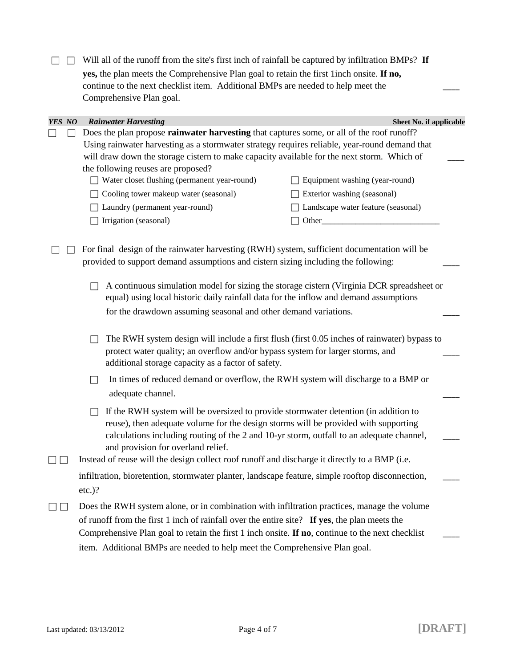Will all of the runoff from the site's first inch of rainfall be captured by infiltration BMPs? **If yes,** the plan meets the Comprehensive Plan goal to retain the first 1inch onsite. **If no,**  continue to the next checklist item. Additional BMPs are needed to help meet the \_\_\_\_ Comprehensive Plan goal.

| YES NO |                                                                                                        | <b>Rainwater Harvesting</b><br>Sheet No. if applicable                                                                                                                                                                                                                                                                                                                                                                                                                                       |  |  |
|--------|--------------------------------------------------------------------------------------------------------|----------------------------------------------------------------------------------------------------------------------------------------------------------------------------------------------------------------------------------------------------------------------------------------------------------------------------------------------------------------------------------------------------------------------------------------------------------------------------------------------|--|--|
|        |                                                                                                        | Does the plan propose rainwater harvesting that captures some, or all of the roof runoff?                                                                                                                                                                                                                                                                                                                                                                                                    |  |  |
|        |                                                                                                        | Using rainwater harvesting as a stormwater strategy requires reliable, year-round demand that                                                                                                                                                                                                                                                                                                                                                                                                |  |  |
|        |                                                                                                        | will draw down the storage cistern to make capacity available for the next storm. Which of                                                                                                                                                                                                                                                                                                                                                                                                   |  |  |
|        |                                                                                                        | the following reuses are proposed?                                                                                                                                                                                                                                                                                                                                                                                                                                                           |  |  |
|        |                                                                                                        | Water closet flushing (permanent year-round)<br>Equipment washing (year-round)                                                                                                                                                                                                                                                                                                                                                                                                               |  |  |
|        |                                                                                                        | Cooling tower makeup water (seasonal)<br>Exterior washing (seasonal)                                                                                                                                                                                                                                                                                                                                                                                                                         |  |  |
|        |                                                                                                        | Landscape water feature (seasonal)<br>Laundry (permanent year-round)                                                                                                                                                                                                                                                                                                                                                                                                                         |  |  |
|        |                                                                                                        | Irrigation (seasonal)                                                                                                                                                                                                                                                                                                                                                                                                                                                                        |  |  |
|        | For final design of the rainwater harvesting (RWH) system, sufficient documentation will be            |                                                                                                                                                                                                                                                                                                                                                                                                                                                                                              |  |  |
|        |                                                                                                        | provided to support demand assumptions and cistern sizing including the following:                                                                                                                                                                                                                                                                                                                                                                                                           |  |  |
|        |                                                                                                        | A continuous simulation model for sizing the storage cistern (Virginia DCR spreadsheet or<br>equal) using local historic daily rainfall data for the inflow and demand assumptions<br>for the drawdown assuming seasonal and other demand variations.<br>The RWH system design will include a first flush (first 0.05 inches of rainwater) bypass to<br>protect water quality; an overflow and/or bypass system for larger storms, and<br>additional storage capacity as a factor of safety. |  |  |
|        |                                                                                                        |                                                                                                                                                                                                                                                                                                                                                                                                                                                                                              |  |  |
|        | In times of reduced demand or overflow, the RWH system will discharge to a BMP or<br>adequate channel. |                                                                                                                                                                                                                                                                                                                                                                                                                                                                                              |  |  |
|        |                                                                                                        | If the RWH system will be oversized to provide stormwater detention (in addition to<br>reuse), then adequate volume for the design storms will be provided with supporting<br>calculations including routing of the 2 and 10-yr storm, outfall to an adequate channel,<br>and provision for overland relief.                                                                                                                                                                                 |  |  |
|        |                                                                                                        | Instead of reuse will the design collect roof runoff and discharge it directly to a BMP (i.e.                                                                                                                                                                                                                                                                                                                                                                                                |  |  |
|        |                                                                                                        | infiltration, bioretention, stormwater planter, landscape feature, simple rooftop disconnection,                                                                                                                                                                                                                                                                                                                                                                                             |  |  |

 $\Box$  Does the RWH system alone, or in combination with infiltration practices, manage the volume of runoff from the first 1 inch of rainfall over the entire site? **If yes**, the plan meets the Comprehensive Plan goal to retain the first 1 inch onsite. **If no**, continue to the next checklist \_\_\_\_ item. Additional BMPs are needed to help meet the Comprehensive Plan goal.

etc.)?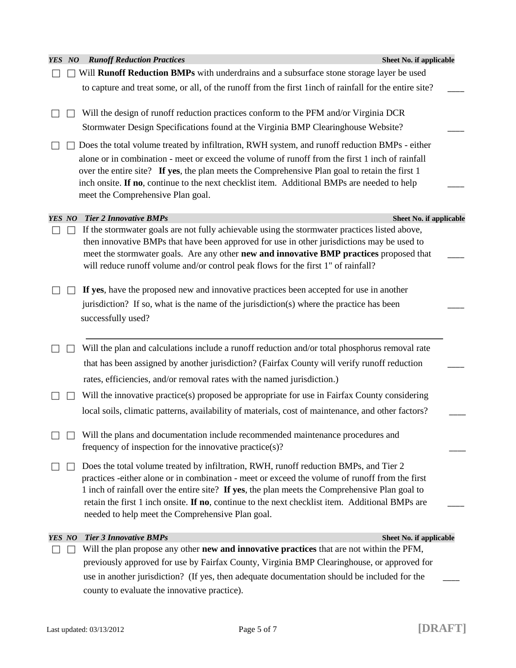| YES NO | <b>Runoff Reduction Practices</b>                                                                       | Sheet No. if applicable |
|--------|---------------------------------------------------------------------------------------------------------|-------------------------|
|        | Will Runoff Reduction BMPs with underdrains and a subsurface stone storage layer be used                |                         |
|        | to capture and treat some, or all, of the runoff from the first 1 inch of rainfall for the entire site? |                         |
|        | Will the design of runoff reduction practices conform to the PFM and/or Virginia DCR                    |                         |
|        | Stormwater Design Specifications found at the Virginia BMP Clearinghouse Website?                       |                         |
|        | Does the total volume treated by infiltration, RWH system, and runoff reduction BMPs - either           |                         |
|        | alone or in combination - meet or exceed the volume of runoff from the first 1 inch of rainfall         |                         |
|        | over the entire site? If yes, the plan meets the Comprehensive Plan goal to retain the first 1          |                         |
|        | inch onsite. If no, continue to the next checklist item. Additional BMPs are needed to help             |                         |
|        | meet the Comprehensive Plan goal.                                                                       |                         |
| YES NO | <b>Tier 2 Innovative BMPs</b>                                                                           | Sheet No. if applicable |
|        | If the stormwater goals are not fully achievable using the stormwater practices listed above,           |                         |
|        | then innovative BMPs that have been approved for use in other jurisdictions may be used to              |                         |
|        | meet the stormwater goals. Are any other new and innovative BMP practices proposed that                 |                         |
|        | will reduce runoff volume and/or control peak flows for the first 1" of rainfall?                       |                         |
|        | If yes, have the proposed new and innovative practices been accepted for use in another                 |                         |
|        | jurisdiction? If so, what is the name of the jurisdiction(s) where the practice has been                |                         |
|        | successfully used?                                                                                      |                         |
|        |                                                                                                         |                         |
|        | Will the plan and calculations include a runoff reduction and/or total phosphorus removal rate          |                         |
|        | that has been assigned by another jurisdiction? (Fairfax County will verify runoff reduction            |                         |
|        | rates, efficiencies, and/or removal rates with the named jurisdiction.)                                 |                         |
|        | Will the innovative practice(s) proposed be appropriate for use in Fairfax County considering           |                         |
|        | local soils, climatic patterns, availability of materials, cost of maintenance, and other factors?      |                         |
|        | Will the plans and documentation include recommended maintenance procedures and                         |                         |
|        | frequency of inspection for the innovative practice $(s)$ ?                                             |                         |
|        | Does the total volume treated by infiltration, RWH, runoff reduction BMPs, and Tier 2                   |                         |
|        | practices -either alone or in combination - meet or exceed the volume of runoff from the first          |                         |
|        | 1 inch of rainfall over the entire site? If yes, the plan meets the Comprehensive Plan goal to          |                         |
|        | retain the first 1 inch onsite. If no, continue to the next checklist item. Additional BMPs are         |                         |
|        | needed to help meet the Comprehensive Plan goal.                                                        |                         |
| YES NO | <b>Tier 3 Innovative BMPs</b>                                                                           | Sheet No. if applicable |
|        | Will the plan propose any other new and innovative practices that are not within the PFM,               |                         |
|        | previously approved for use by Fairfax County, Virginia BMP Clearinghouse, or approved for              |                         |
|        | use in another jurisdiction? (If yes, then adequate documentation should be included for the            |                         |
|        | county to evaluate the innovative practice).                                                            |                         |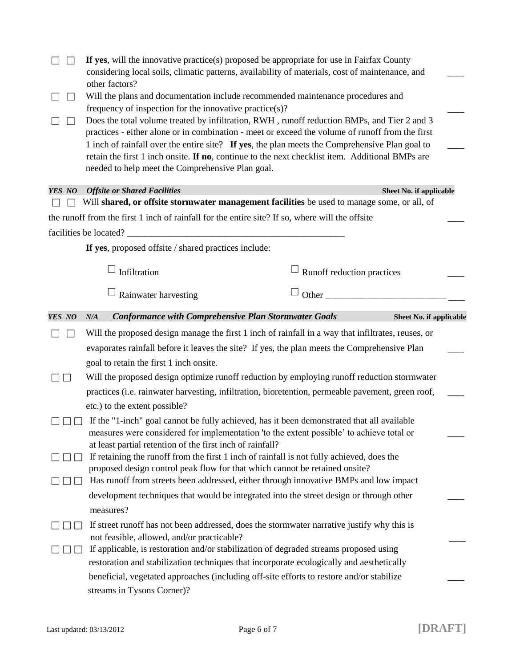|        | If yes, will the innovative practice(s) proposed be appropriate for use in Fairfax County<br>considering local soils, climatic patterns, availability of materials, cost of maintenance, and                                                                                                                                                                                                                                                            |                            |                         |  |
|--------|---------------------------------------------------------------------------------------------------------------------------------------------------------------------------------------------------------------------------------------------------------------------------------------------------------------------------------------------------------------------------------------------------------------------------------------------------------|----------------------------|-------------------------|--|
|        | other factors?<br>Will the plans and documentation include recommended maintenance procedures and                                                                                                                                                                                                                                                                                                                                                       |                            |                         |  |
|        | frequency of inspection for the innovative practice(s)?                                                                                                                                                                                                                                                                                                                                                                                                 |                            |                         |  |
|        | Does the total volume treated by infiltration, RWH, runoff reduction BMPs, and Tier 2 and 3<br>practices - either alone or in combination - meet or exceed the volume of runoff from the first<br>1 inch of rainfall over the entire site? If yes, the plan meets the Comprehensive Plan goal to<br>retain the first 1 inch onsite. If no, continue to the next checklist item. Additional BMPs are<br>needed to help meet the Comprehensive Plan goal. |                            |                         |  |
| YES NO | <b>Offsite or Shared Facilities</b>                                                                                                                                                                                                                                                                                                                                                                                                                     |                            | Sheet No. if applicable |  |
|        | Will shared, or offsite stormwater management facilities be used to manage some, or all, of                                                                                                                                                                                                                                                                                                                                                             |                            |                         |  |
|        | the runoff from the first 1 inch of rainfall for the entire site? If so, where will the offsite                                                                                                                                                                                                                                                                                                                                                         |                            |                         |  |
|        | facilities be located?                                                                                                                                                                                                                                                                                                                                                                                                                                  |                            |                         |  |
|        | If yes, proposed offsite / shared practices include:                                                                                                                                                                                                                                                                                                                                                                                                    |                            |                         |  |
|        | Infiltration                                                                                                                                                                                                                                                                                                                                                                                                                                            | Runoff reduction practices |                         |  |
|        | Rainwater harvesting                                                                                                                                                                                                                                                                                                                                                                                                                                    | Other                      |                         |  |
| YES NO | <b>Conformance with Comprehensive Plan Stormwater Goals</b><br>N/A                                                                                                                                                                                                                                                                                                                                                                                      |                            | Sheet No. if applicable |  |
|        | Will the proposed design manage the first 1 inch of rainfall in a way that infiltrates, reuses, or                                                                                                                                                                                                                                                                                                                                                      |                            |                         |  |
|        | evaporates rainfall before it leaves the site? If yes, the plan meets the Comprehensive Plan                                                                                                                                                                                                                                                                                                                                                            |                            |                         |  |
|        | goal to retain the first 1 inch onsite.                                                                                                                                                                                                                                                                                                                                                                                                                 |                            |                         |  |
|        | Will the proposed design optimize runoff reduction by employing runoff reduction stormwater                                                                                                                                                                                                                                                                                                                                                             |                            |                         |  |
|        | practices (i.e. rainwater harvesting, infiltration, bioretention, permeable pavement, green roof,                                                                                                                                                                                                                                                                                                                                                       |                            |                         |  |
|        | etc.) to the extent possible?                                                                                                                                                                                                                                                                                                                                                                                                                           |                            |                         |  |
|        | If the "1-inch" goal cannot be fully achieved, has it been demonstrated that all available                                                                                                                                                                                                                                                                                                                                                              |                            |                         |  |
|        | measures were considered for implementation 'to the extent possible' to achieve total or                                                                                                                                                                                                                                                                                                                                                                |                            |                         |  |
|        | at least partial retention of the first inch of rainfall?<br>If retaining the runoff from the first 1 inch of rainfall is not fully achieved, does the                                                                                                                                                                                                                                                                                                  |                            |                         |  |
|        | proposed design control peak flow for that which cannot be retained onsite?                                                                                                                                                                                                                                                                                                                                                                             |                            |                         |  |
|        | Has runoff from streets been addressed, either through innovative BMPs and low impact                                                                                                                                                                                                                                                                                                                                                                   |                            |                         |  |
|        | development techniques that would be integrated into the street design or through other                                                                                                                                                                                                                                                                                                                                                                 |                            |                         |  |
|        | measures?                                                                                                                                                                                                                                                                                                                                                                                                                                               |                            |                         |  |
|        | If street runoff has not been addressed, does the stormwater narrative justify why this is                                                                                                                                                                                                                                                                                                                                                              |                            |                         |  |
|        | not feasible, allowed, and/or practicable?                                                                                                                                                                                                                                                                                                                                                                                                              |                            |                         |  |
|        | If applicable, is restoration and/or stabilization of degraded streams proposed using                                                                                                                                                                                                                                                                                                                                                                   |                            |                         |  |
|        | restoration and stabilization techniques that incorporate ecologically and aesthetically                                                                                                                                                                                                                                                                                                                                                                |                            |                         |  |
|        | beneficial, vegetated approaches (including off-site efforts to restore and/or stabilize<br>streams in Tysons Corner)?                                                                                                                                                                                                                                                                                                                                  |                            |                         |  |